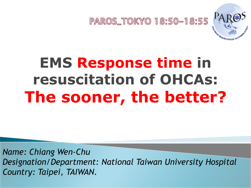

### **EMS Response time in resuscitation of OHCAs: The sooner, the better?**

*Name: Chiang Wen-Chu Designation/Department: National Taiwan University Hospital Country: Taipei, TAIWAN.*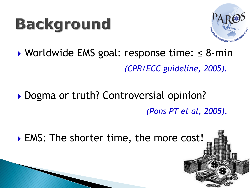### **Background**



#### Worldwide EMS goal: response time: ≤ 8-min *(CPR/ECC guideline, 2005).*

#### ▶ Dogma or truth? Controversial opinion? *(Pons PT et al, 2005).*

▶ EMS: The shorter time, the more cost!

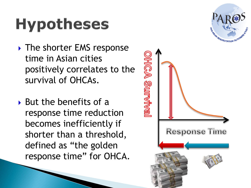# **Hypotheses**

▶ The shorter EMS response time in Asian cities positively correlates to the survival of OHCAs.

**HIGA Survival** 

 $\triangleright$  But the benefits of a response time reduction becomes inefficiently if shorter than a threshold, defined as "the golden response time" for OHCA.



**Response Time**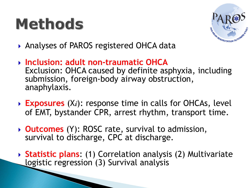## **Methods**



- ▶ Analyses of PAROS registered OHCA data
- **Inclusion: adult non-traumatic OHCA**  Exclusion: OHCA caused by definite asphyxia, including submission, foreign-body airway obstruction, anaphylaxis.
- **► Exposures** (Xi): response time in calls for OHCAs, level of EMT, bystander CPR, arrest rhythm, transport time.
- **Outcomes** (Y): ROSC rate, survival to admission, survival to discharge, CPC at discharge.
- **Statistic plans**: (1) Correlation analysis (2) Multivariate logistic regression (3) Survival analysis